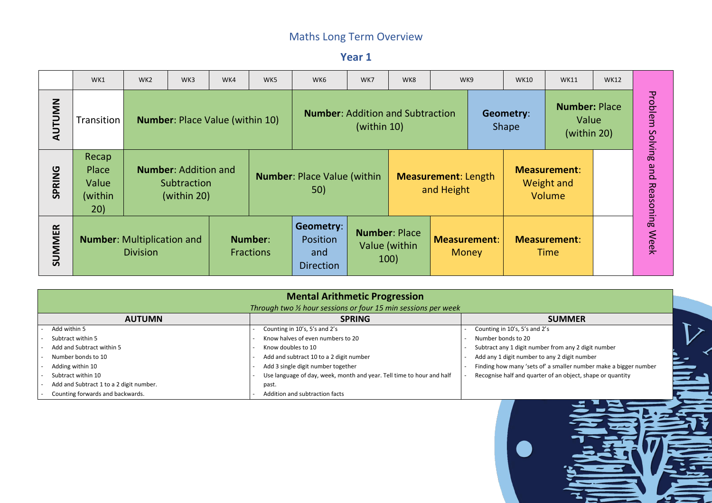**Year 1**

|               | WK1                                       | WK <sub>2</sub> | WK3                                                       | WK4 | WK5                         | WK6                                                     | WK7            | WK8                                           | WK9                                      | <b>WK10</b><br><b>WK11</b>       |                                              | <b>WK12</b> |         |
|---------------|-------------------------------------------|-----------------|-----------------------------------------------------------|-----|-----------------------------|---------------------------------------------------------|----------------|-----------------------------------------------|------------------------------------------|----------------------------------|----------------------------------------------|-------------|---------|
| AUTUMN        | Transition                                |                 | <b>Number: Place Value (within 10)</b>                    |     |                             | <b>Number: Addition and Subtraction</b>                 | (within $10$ ) |                                               |                                          | <b>Geometry:</b><br><b>Shape</b> | <b>Number: Place</b><br>Value<br>(within 20) |             | Solving |
| <b>SPRING</b> | Recap<br>Place<br>Value<br>(within<br>20) |                 | <b>Number: Addition and</b><br>Subtraction<br>(within 20) |     |                             | <b>Number: Place Value (within</b><br>50)               |                |                                               | <b>Measurement: Length</b><br>and Height |                                  | <b>Measurement:</b><br>Weight and<br>Volume  |             |         |
| <b>SUMMER</b> | <b>Number:</b> Multiplication and         | <b>Division</b> |                                                           |     | Number:<br><b>Fractions</b> | <b>Geometry:</b><br>Position<br>and<br><b>Direction</b> |                | <b>Number: Place</b><br>Value (within<br>100) | <b>Measurement:</b><br><b>Money</b>      |                                  | <b>Measurement:</b><br><b>Time</b>           |             |         |

| <b>Mental Arithmetic Progression</b>    |                                                                       |                                            |  |  |  |  |  |  |  |  |  |
|-----------------------------------------|-----------------------------------------------------------------------|--------------------------------------------|--|--|--|--|--|--|--|--|--|
|                                         | Through two 1/2 hour sessions or four 15 min sessions per week        |                                            |  |  |  |  |  |  |  |  |  |
| <b>AUTUMN</b>                           | <b>SPRING</b>                                                         | <b>SUMMER</b>                              |  |  |  |  |  |  |  |  |  |
| Add within 5                            | Counting in 10's, 5's and 2's                                         | Counting in 10's, 5's and 2's              |  |  |  |  |  |  |  |  |  |
| Subtract within 5                       | Know halves of even numbers to 20                                     | Number bonds to 20                         |  |  |  |  |  |  |  |  |  |
| Add and Subtract within 5               | Know doubles to 10                                                    | Subtract any 1 digit number from any 2 d   |  |  |  |  |  |  |  |  |  |
| Number bonds to 10                      | Add and subtract 10 to a 2 digit number                               | Add any 1 digit number to any 2 digit nun  |  |  |  |  |  |  |  |  |  |
| Adding within 10                        | Add 3 single digit number together                                    | Finding how many 'sets of' a smaller num   |  |  |  |  |  |  |  |  |  |
| Subtract within 10                      | Use language of day, week, month and year. Tell time to hour and half | Recognise half and quarter of an object, s |  |  |  |  |  |  |  |  |  |
| Add and Subtract 1 to a 2 digit number. | past.                                                                 |                                            |  |  |  |  |  |  |  |  |  |
| Counting forwards and backwards.        | Addition and subtraction facts                                        |                                            |  |  |  |  |  |  |  |  |  |

- mber from any 2 digit number
- to any 2 digit number
- s of' a smaller number make a bigger number
- rter of an object, shape or quantity



 $\boldsymbol{V}$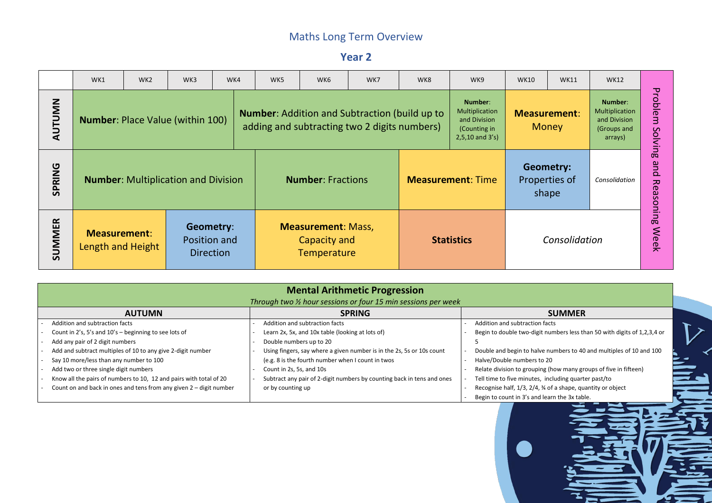**Year 2**

|               | WK1                                      | WK <sub>2</sub>                                                                                                                                  | WK3                                                                                                                                             | WK4 | WK5 | WK6 | WK7                                                                                                  | WK8 | WK9                                                                               | <b>WK10</b> | <b>WK11</b>                         | <b>WK12</b>                                                         |                   |
|---------------|------------------------------------------|--------------------------------------------------------------------------------------------------------------------------------------------------|-------------------------------------------------------------------------------------------------------------------------------------------------|-----|-----|-----|------------------------------------------------------------------------------------------------------|-----|-----------------------------------------------------------------------------------|-------------|-------------------------------------|---------------------------------------------------------------------|-------------------|
| <b>AUTUMN</b> | <b>Number: Place Value (within 100)</b>  |                                                                                                                                                  |                                                                                                                                                 |     |     |     | <b>Number:</b> Addition and Subtraction (build up to<br>adding and subtracting two 2 digits numbers) |     | Number:<br>Multiplication<br>and Division<br>(Counting in<br>$2,5,10$ and $3's$ ) |             | <b>Measurement:</b><br><b>Money</b> | Number:<br>Multiplication<br>and Division<br>(Groups and<br>arrays) | Problem<br>Solvin |
| <b>SPRING</b> |                                          | <b>Geometry:</b><br><b>Number: Multiplication and Division</b><br><b>Number: Fractions</b><br><b>Measurement: Time</b><br>Properties of<br>shape |                                                                                                                                                 |     |     |     |                                                                                                      |     | Consolidation                                                                     |             | 0 <sup>o</sup><br>pue<br>Reasoning  |                                                                     |                   |
| <b>SUMMER</b> | <b>Measurement:</b><br>Length and Height |                                                                                                                                                  | Geometry:<br><b>Measurement: Mass,</b><br>Position and<br>Consolidation<br>Capacity and<br><b>Statistics</b><br><b>Direction</b><br>Temperature |     |     |     |                                                                                                      |     |                                                                                   | <b>Week</b> |                                     |                                                                     |                   |

| <b>Mental Arithmetic Progression</b>                               |  |                                                                        |  |                                             |  |  |  |  |  |  |  |  |
|--------------------------------------------------------------------|--|------------------------------------------------------------------------|--|---------------------------------------------|--|--|--|--|--|--|--|--|
|                                                                    |  | Through two % hour sessions or four 15 min sessions per week           |  |                                             |  |  |  |  |  |  |  |  |
| <b>AUTUMN</b>                                                      |  | <b>SPRING</b>                                                          |  | <b>SUMMER</b>                               |  |  |  |  |  |  |  |  |
| Addition and subtraction facts                                     |  | Addition and subtraction facts                                         |  | Addition and subtraction facts              |  |  |  |  |  |  |  |  |
| Count in 2's, 5's and 10's - beginning to see lots of              |  | Learn 2x, 5x, and 10x table (looking at lots of)                       |  | Begin to double two-digit numbers less th   |  |  |  |  |  |  |  |  |
| Add any pair of 2 digit numbers                                    |  | Double numbers up to 20                                                |  |                                             |  |  |  |  |  |  |  |  |
| Add and subtract multiples of 10 to any give 2-digit number        |  | Using fingers, say where a given number is in the 2s, 5s or 10s count  |  | Double and begin to halve numbers to 40     |  |  |  |  |  |  |  |  |
| Say 10 more/less than any number to 100                            |  | (e.g. 8 is the fourth number when I count in twos                      |  | Halve/Double numbers to 20                  |  |  |  |  |  |  |  |  |
| Add two or three single digit numbers                              |  | Count in 2s, 5s, and 10s                                               |  | Relate division to grouping (how many gr    |  |  |  |  |  |  |  |  |
| Know all the pairs of numbers to 10, 12 and pairs with total of 20 |  | Subtract any pair of 2-digit numbers by counting back in tens and ones |  | Tell time to five minutes, including quart  |  |  |  |  |  |  |  |  |
| Count on and back in ones and tens from any given 2 - digit number |  | or by counting up                                                      |  | Recognise half, 1/3, 2/4, 34 of a shape, qu |  |  |  |  |  |  |  |  |
|                                                                    |  |                                                                        |  | Begin to count in 3's and learn the 3x tab  |  |  |  |  |  |  |  |  |

 $\overline{\text{on facts}}$ git numbers less than 50 with digits of 1,2,3,4 or

 $\triangleright$ 

lve numbers to 40 and multiples of 10 and 100 to  $20$ 

 $\sin g$  (how many groups of five in fifteen)

s, including quarter past/to

 $4,$  % of a shape, quantity or object

d learn the 3x table.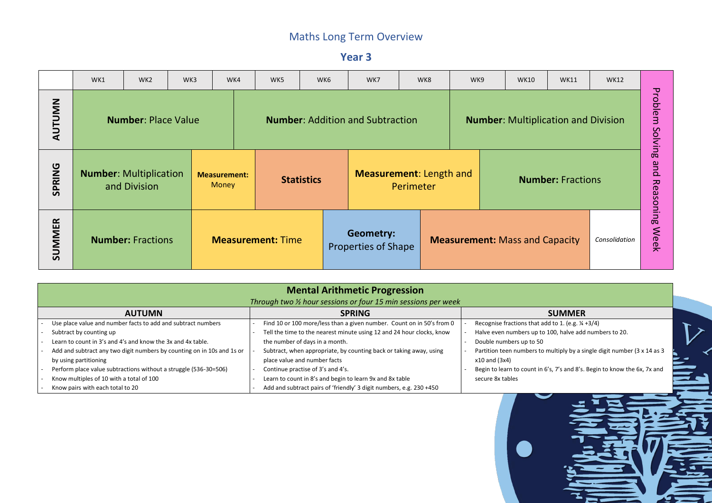**Year 3**

|               | WK1                                                                                  | WK <sub>2</sub>            | WK3<br>WK4<br>WK5<br>WK6<br>WK7<br>WK8<br>WK9<br><b>WK10</b><br><b>WK11</b><br><b>WK12</b> |  |  |                                                                                       |                   |  |                                                |  |  |  |  |                                       |  |                                    |             |
|---------------|--------------------------------------------------------------------------------------|----------------------------|--------------------------------------------------------------------------------------------|--|--|---------------------------------------------------------------------------------------|-------------------|--|------------------------------------------------|--|--|--|--|---------------------------------------|--|------------------------------------|-------------|
| <b>AUTUMN</b> |                                                                                      | <b>Number: Place Value</b> |                                                                                            |  |  | <b>Number: Addition and Subtraction</b><br><b>Number:</b> Multiplication and Division |                   |  |                                                |  |  |  |  |                                       |  | Problem<br>Solvin                  |             |
| <b>SPRING</b> | <b>Number: Multiplication</b><br><b>Measurement:</b><br><b>Money</b><br>and Division |                            |                                                                                            |  |  |                                                                                       | <b>Statistics</b> |  | <b>Measurement: Length and</b><br>Perimeter    |  |  |  |  | <b>Number: Fractions</b>              |  | 0 <sup>o</sup><br>pue<br>Reasoning |             |
| <b>SUMMER</b> | <b>Number: Fractions</b>                                                             |                            |                                                                                            |  |  | <b>Measurement: Time</b>                                                              |                   |  | <b>Geometry:</b><br><b>Properties of Shape</b> |  |  |  |  | <b>Measurement: Mass and Capacity</b> |  | Consolidation                      | <b>Week</b> |

| <b>Mental Arithmetic Progression</b>                                   |  |                                                                       |  |                                                    |  |  |  |  |  |  |  |  |
|------------------------------------------------------------------------|--|-----------------------------------------------------------------------|--|----------------------------------------------------|--|--|--|--|--|--|--|--|
|                                                                        |  | Through two % hour sessions or four 15 min sessions per week          |  |                                                    |  |  |  |  |  |  |  |  |
| <b>AUTUMN</b>                                                          |  | <b>SPRING</b>                                                         |  | <b>SUMMER</b>                                      |  |  |  |  |  |  |  |  |
| Use place value and number facts to add and subtract numbers           |  | Find 10 or 100 more/less than a given number. Count on in 50's from 0 |  | Recognise fractions that add to 1. (e.g. 1/4 +3/4) |  |  |  |  |  |  |  |  |
| Subtract by counting up                                                |  | Tell the time to the nearest minute using 12 and 24 hour clocks, know |  | Halve even numbers up to 100, halve add num        |  |  |  |  |  |  |  |  |
| Learn to count in 3's and 4's and know the 3x and 4x table.            |  | the number of days in a month.                                        |  | Double numbers up to 50                            |  |  |  |  |  |  |  |  |
| Add and subtract any two digit numbers by counting on in 10s and 1s or |  | Subtract, when appropriate, by counting back or taking away, using    |  | Partition teen numbers to multiply by a single     |  |  |  |  |  |  |  |  |
| by using partitioning                                                  |  | place value and number facts                                          |  | $x10$ and $(3x4)$                                  |  |  |  |  |  |  |  |  |
| Perform place value subtractions without a struggle (536-30=506)       |  | Continue practise of 3's and 4's.                                     |  | Begin to learn to count in 6's, 7's and 8's. Begin |  |  |  |  |  |  |  |  |
| Know multiples of 10 with a total of 100                               |  | Learn to count in 8's and begin to learn 9x and 8x table              |  | secure 8x tables                                   |  |  |  |  |  |  |  |  |
| Know pairs with each total to 20                                       |  | Add and subtract pairs of 'friendly' 3 digit numbers, e.g. 230 +450   |  |                                                    |  |  |  |  |  |  |  |  |

to 100, halve add numbers to 20.

to multiply by a single digit number (3 x 14 as 3

in 6's, 7's and 8's. Begin to know the 6x, 7x and



 $\mathcal{L}$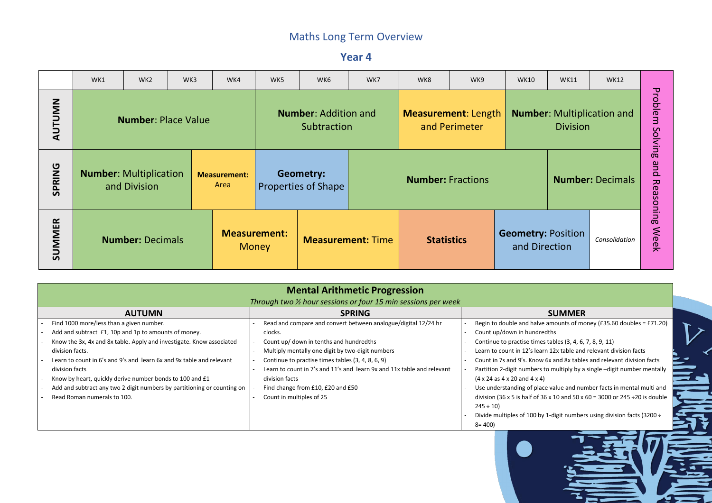**Year 4**

|               | WK1                     | WK <sub>2</sub>                               | WK3 | WK4                         | WK5                                 | WK6                                            | WK8<br>WK7<br>WK9<br><b>WK10</b><br><b>WK11</b><br><b>WK12</b> |                          |                                             |                                            |                                                      |                         |                                    |  |  |
|---------------|-------------------------|-----------------------------------------------|-----|-----------------------------|-------------------------------------|------------------------------------------------|----------------------------------------------------------------|--------------------------|---------------------------------------------|--------------------------------------------|------------------------------------------------------|-------------------------|------------------------------------|--|--|
| <b>AUTUMN</b> |                         | <b>Number: Place Value</b>                    |     |                             |                                     | <b>Number: Addition and</b><br>Subtraction     |                                                                |                          | <b>Measurement: Length</b><br>and Perimeter |                                            | <b>Number:</b> Multiplication and<br><b>Division</b> | Problem<br>Solvin       |                                    |  |  |
| <b>SPRING</b> |                         | <b>Number: Multiplication</b><br>and Division |     | <b>Measurement:</b><br>Area |                                     | <b>Geometry:</b><br><b>Properties of Shape</b> |                                                                | <b>Number: Fractions</b> |                                             |                                            |                                                      | <b>Number: Decimals</b> | 0 <sup>o</sup><br>pue<br>Reasoning |  |  |
| SUMMER        | <b>Number: Decimals</b> |                                               |     |                             | <b>Measurement:</b><br><b>Money</b> |                                                | <b>Measurement: Time</b>                                       | <b>Statistics</b>        |                                             | <b>Geometry: Position</b><br>and Direction |                                                      | Consolidation           | <b>Week</b>                        |  |  |

| Through two $\frac{1}{2}$ hour sessions or four 15 min sessions per week<br><b>AUTUMN</b><br><b>SPRING</b><br>Find 1000 more/less than a given number.<br>Read and compare and convert between analogue/digital 12/24 hr<br>Count up/down in hundredths<br>Add and subtract £1, 10p and 1p to amounts of money.<br>clocks.<br>Know the 3x, 4x and 8x table. Apply and investigate. Know associated<br>Count up/ down in tenths and hundredths<br>division facts.<br>Multiply mentally one digit by two-digit numbers<br>Learn to count in 6's and 9's and learn 6x and 9x table and relevant<br>Continue to practise times tables (3, 4, 8, 6, 9)<br>Learn to count in 7's and 11's and learn 9x and 11x table and relevant<br>division facts<br>Know by heart, quickly derive number bonds to 100 and £1<br>division facts<br>$(4 \times 24$ as $4 \times 20$ and $4 \times 4$ )<br>Add and subtract any two 2 digit numbers by partitioning or counting on<br>Find change from £10, £20 and £50 |                             | <b>Mental Arithmetic Progression</b> |                                              |
|---------------------------------------------------------------------------------------------------------------------------------------------------------------------------------------------------------------------------------------------------------------------------------------------------------------------------------------------------------------------------------------------------------------------------------------------------------------------------------------------------------------------------------------------------------------------------------------------------------------------------------------------------------------------------------------------------------------------------------------------------------------------------------------------------------------------------------------------------------------------------------------------------------------------------------------------------------------------------------------------------|-----------------------------|--------------------------------------|----------------------------------------------|
|                                                                                                                                                                                                                                                                                                                                                                                                                                                                                                                                                                                                                                                                                                                                                                                                                                                                                                                                                                                                   |                             |                                      |                                              |
|                                                                                                                                                                                                                                                                                                                                                                                                                                                                                                                                                                                                                                                                                                                                                                                                                                                                                                                                                                                                   |                             |                                      | <b>SUMMER</b>                                |
|                                                                                                                                                                                                                                                                                                                                                                                                                                                                                                                                                                                                                                                                                                                                                                                                                                                                                                                                                                                                   |                             |                                      | Begin to double and halve amounts of mo      |
|                                                                                                                                                                                                                                                                                                                                                                                                                                                                                                                                                                                                                                                                                                                                                                                                                                                                                                                                                                                                   |                             |                                      |                                              |
|                                                                                                                                                                                                                                                                                                                                                                                                                                                                                                                                                                                                                                                                                                                                                                                                                                                                                                                                                                                                   |                             |                                      | Continue to practise times tables (3, 4, 6,  |
|                                                                                                                                                                                                                                                                                                                                                                                                                                                                                                                                                                                                                                                                                                                                                                                                                                                                                                                                                                                                   |                             |                                      | Learn to count in 12's learn 12x table and   |
|                                                                                                                                                                                                                                                                                                                                                                                                                                                                                                                                                                                                                                                                                                                                                                                                                                                                                                                                                                                                   |                             |                                      | Count in 7s and 9's. Know 6x and 8x table    |
|                                                                                                                                                                                                                                                                                                                                                                                                                                                                                                                                                                                                                                                                                                                                                                                                                                                                                                                                                                                                   |                             |                                      | Partition 2-digit numbers to multiply by a   |
|                                                                                                                                                                                                                                                                                                                                                                                                                                                                                                                                                                                                                                                                                                                                                                                                                                                                                                                                                                                                   |                             |                                      |                                              |
|                                                                                                                                                                                                                                                                                                                                                                                                                                                                                                                                                                                                                                                                                                                                                                                                                                                                                                                                                                                                   |                             |                                      | Use understanding of place value and nur     |
|                                                                                                                                                                                                                                                                                                                                                                                                                                                                                                                                                                                                                                                                                                                                                                                                                                                                                                                                                                                                   | Read Roman numerals to 100. | Count in multiples of 25             | division (36 x 5 is half of 36 x 10 and 50 x |
| $245 \div 10$                                                                                                                                                                                                                                                                                                                                                                                                                                                                                                                                                                                                                                                                                                                                                                                                                                                                                                                                                                                     |                             |                                      |                                              |
|                                                                                                                                                                                                                                                                                                                                                                                                                                                                                                                                                                                                                                                                                                                                                                                                                                                                                                                                                                                                   |                             |                                      | Divide multiples of 100 by 1-digit number    |
| $8 = 400$                                                                                                                                                                                                                                                                                                                                                                                                                                                                                                                                                                                                                                                                                                                                                                                                                                                                                                                                                                                         |                             |                                      |                                              |

- lve amounts of money ( $£35.60$  doubles =  $£71.20$ ) redths
- nes tables (3, 4, 6, 7, 8, 9, 11)
- earn 12x table and relevant division facts
- ow 6x and 8x tables and relevant division facts
- rs to multiply by a single –digit number mentally  $(4)$
- lace value and number facts in mental multi and f 36 x 10 and 50 x 60 = 3000 or 245 ÷20 is double

by 1-digit numbers using division facts (3200 ÷

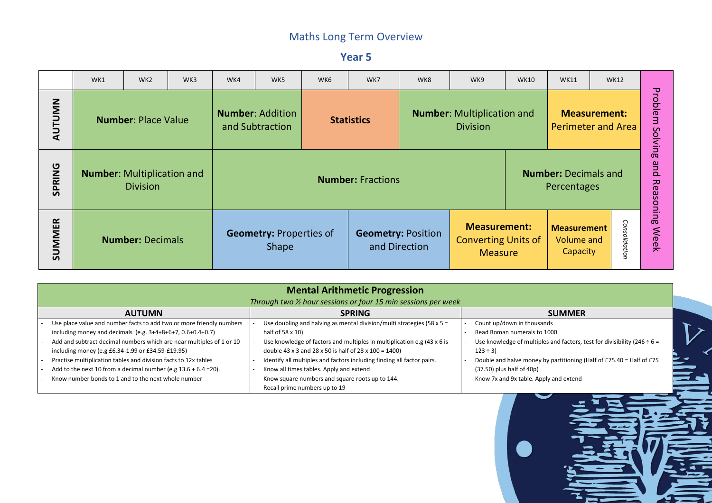**Year 5**

|               | WK1 | WK <sub>2</sub>                                      | WK3 | WK4 | WK5                                            | WK6 | WK7                                                                                                                           | WK8                                        | WK9                                                                 | <b>WK10</b> | <b>WK11</b>                                         |  | <b>WK12</b>       |                                                   |
|---------------|-----|------------------------------------------------------|-----|-----|------------------------------------------------|-----|-------------------------------------------------------------------------------------------------------------------------------|--------------------------------------------|---------------------------------------------------------------------|-------------|-----------------------------------------------------|--|-------------------|---------------------------------------------------|
| AUTUMN        |     | <b>Number: Place Value</b>                           |     |     | <b>Number: Addition</b><br>and Subtraction     |     | <b>Number:</b> Multiplication and<br><b>Measurement:</b><br><b>Statistics</b><br><b>Perimeter and Area</b><br><b>Division</b> |                                            |                                                                     |             |                                                     |  |                   | <b>Probl</b><br>em<br>Solvin                      |
| <b>SPRING</b> |     | <b>Number:</b> Multiplication and<br><b>Division</b> |     |     |                                                |     | <b>Number: Fractions</b>                                                                                                      |                                            | <b>Number: Decimals and</b><br>Percentages                          |             |                                                     |  |                   | 0 <sup>o</sup><br>pue<br>$\frac{1}{6}$<br>asoning |
| <b>SUMMER</b> |     | <b>Number: Decimals</b>                              |     |     | <b>Geometry: Properties of</b><br><b>Shape</b> |     |                                                                                                                               | <b>Geometry: Position</b><br>and Direction | <b>Measurement:</b><br><b>Converting Units of</b><br><b>Measure</b> |             | <b>Measurement</b><br><b>Volume and</b><br>Capacity |  | Cons<br>olidation | <b>Week</b>                                       |

|                                                                                                                                                                                               | <b>Mental Arithmetic Progression</b><br>Through two 1/2 hour sessions or four 15 min sessions per week                                                     |                                                                          |
|-----------------------------------------------------------------------------------------------------------------------------------------------------------------------------------------------|------------------------------------------------------------------------------------------------------------------------------------------------------------|--------------------------------------------------------------------------|
| <b>AUTUMN</b>                                                                                                                                                                                 | <b>SPRING</b>                                                                                                                                              | <b>SUMMER</b>                                                            |
| Use place value and number facts to add two or more friendly numbers                                                                                                                          | Use doubling and halving as mental division/multi strategies (58 x $5 =$                                                                                   | Count up/down in thousands<br>Read Roman numerals to 1000.               |
| including money and decimals (e.g. $3+4+8+6+7$ , $0.6+0.4+0.7$ )<br>Add and subtract decimal numbers which are near multiples of 1 or 10<br>including money (e.g £6.34-1.99 or £34.59-£19.95) | half of $58 \times 10$<br>Use knowledge of factors and multiples in multiplication e.g (43 x 6 is<br>double 43 x 3 and 28 x 50 is half of 28 x 100 = 1400) | Use knowledge of multiples and factors, t<br>$123 \div 3$                |
| Practise multiplication tables and division facts to 12x tables<br>Add to the next 10 from a decimal number (e.g $13.6 + 6.4 = 20$ ).                                                         | Identify all multiples and factors including finding all factor pairs.<br>Know all times tables. Apply and extend                                          | Double and halve money by partitioning<br>$(37.50)$ plus half of $40p$ ) |
| Know number bonds to 1 and to the next whole number                                                                                                                                           | Know square numbers and square roots up to 144.<br>Recall prime numbers up to 19                                                                           | Know 7x and 9x table. Apply and extend                                   |

iples and factors, test for divisibility (246 ÷ 6 =

ey by partitioning (Half of £75.40 = Half of £75 $\,$ 



 $\mathcal{L}$